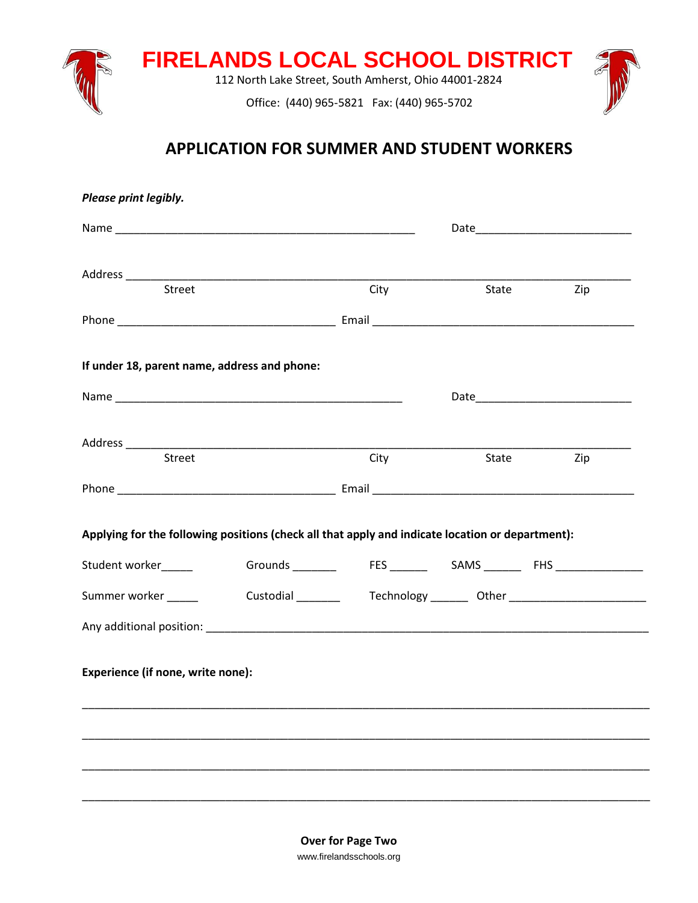

# **APPLICATION FOR SUMMER AND STUDENT WORKERS**

| Please print legibly.                                                                                                                           |                                                                                  |      |       |     |
|-------------------------------------------------------------------------------------------------------------------------------------------------|----------------------------------------------------------------------------------|------|-------|-----|
|                                                                                                                                                 |                                                                                  |      |       |     |
|                                                                                                                                                 |                                                                                  |      |       |     |
| Street                                                                                                                                          |                                                                                  | City | State | Zip |
|                                                                                                                                                 |                                                                                  |      |       |     |
| If under 18, parent name, address and phone:                                                                                                    |                                                                                  |      |       |     |
|                                                                                                                                                 |                                                                                  |      |       |     |
|                                                                                                                                                 |                                                                                  |      |       |     |
| Street                                                                                                                                          |                                                                                  | City | State | Zip |
|                                                                                                                                                 |                                                                                  |      |       |     |
|                                                                                                                                                 |                                                                                  |      |       |     |
|                                                                                                                                                 |                                                                                  |      |       |     |
|                                                                                                                                                 |                                                                                  |      |       |     |
|                                                                                                                                                 | Grounds _________   FES ________  SAMS ________ FHS ____________________         |      |       |     |
|                                                                                                                                                 | Custodial __________  Technology _________ Other _______________________________ |      |       |     |
|                                                                                                                                                 |                                                                                  |      |       |     |
| Applying for the following positions (check all that apply and indicate location or department):<br>Student worker_____<br>Summer worker ______ |                                                                                  |      |       |     |
| Experience (if none, write none):                                                                                                               |                                                                                  |      |       |     |
|                                                                                                                                                 |                                                                                  |      |       |     |
|                                                                                                                                                 |                                                                                  |      |       |     |
|                                                                                                                                                 |                                                                                  |      |       |     |
|                                                                                                                                                 |                                                                                  |      |       |     |